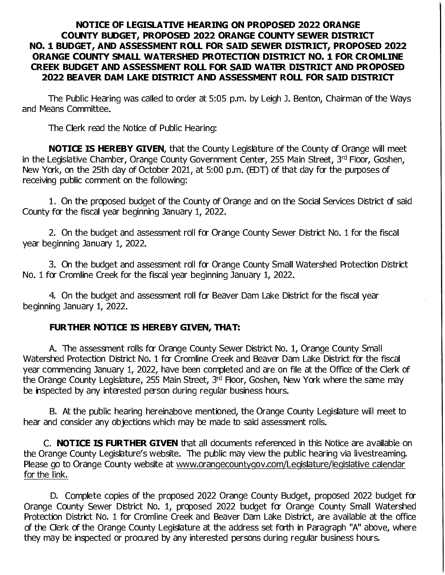## **NOTICE OF LEGISLATIVE HEARING ON PROPOSED 2022 ORANGE COUNTY BUDGET, PROPOSED 2022 ORANGE COUNTY SEWER DISTRICT NO. 1 BUDGET, AND ASSESSMENT ROLL FOR SAID SEWER DISTRICT, PROPOSED 2022 ORANGE COUNTY SMALL WATERSHED PROTECTION DISTRICT NO. 1 FOR CROMLINE CREEK BUDGET AND ASSESSMENT ROLL FOR SAID WATER DISTRICT AND PROPOSED 2022 BEAVER DAM LAKE DISTRICT AND ASSESSMENT ROLL FOR SAID DISTRICT**

The Public Hearing was called to order at 5:05 p.m. by Leigh J. Benton, Chairman of the Ways and Means Committee.

The Clerk read the Notice of Public Hearing:

**NOTICE IS HEREBY GIVEN,** that the County Legislature of the County of Orange will meet in the Legislative Chamber, Orange County Government Center, 255 Main Street, 3rd Floor, Goshen, New York, on the 25th day of October 2021, at 5:00 p.m. (EDT) of that day for the purposes of receiving public comment on the following:

1. On the proposed budget of the County of Orange and on the Social Services District of said County for the fiscal year beginning January 1, 2022.

2. On the budget and assessment roll for Orange County Sewer District No. 1 for the fiscal year beginning January 1, 2022.

3. On the budget and assessment roll for Orange County Small Watershed Protection District No. 1 for Cromline Creek for the fiscal year beginning January 1, 2022.

4. On the budget and assessment roll for Beaver Dam Lake District for the fiscal year beginning January 1, 2022.

## **FURTHER NOTICE IS HEREBY GIVEN, THAT:**

A. The assessment rolls for Orange County Sewer District No. 1, Orange County Small Watershed Protection District No. 1 for Cromline Creek and Beaver Dam Lake District for the fiscal year commencing January 1, 2022, have been completed and are on file at the Office of the Clerk of the Orange County Legislature, 255 Main Street, 3rd Floor, Goshen, New York where the same may be inspected by any interested person during regular business hours.

B. At the public hearing hereinabove mentioned, the Orange County Legislature will meet to hear and consider any objections which may be made to said assessment rolls.

C. **NOTICE IS FURTHER GIVEN** that all documents referenced in this Notice are available on the Orange County Legislature's website. The public may view the public hearing via livestreaming. Please go to Orange County website at www.orangecountygov.com/Legislature/legislative calendar for the link.

D. Complete copies of the proposed 2022 Orange County Budget, proposed 2022 budget for Orange County Sewer District No. 1, proposed 2022 budget for Orange County Small Watershed Protection District No. 1 for Cromline Creek and Beaver Dam Lake District, are available at the office of the Clerk of the Orange County Legislature at the address set forth in Paragraph "A" above, where they may be inspected or procured by any interested persons during regular business hours.